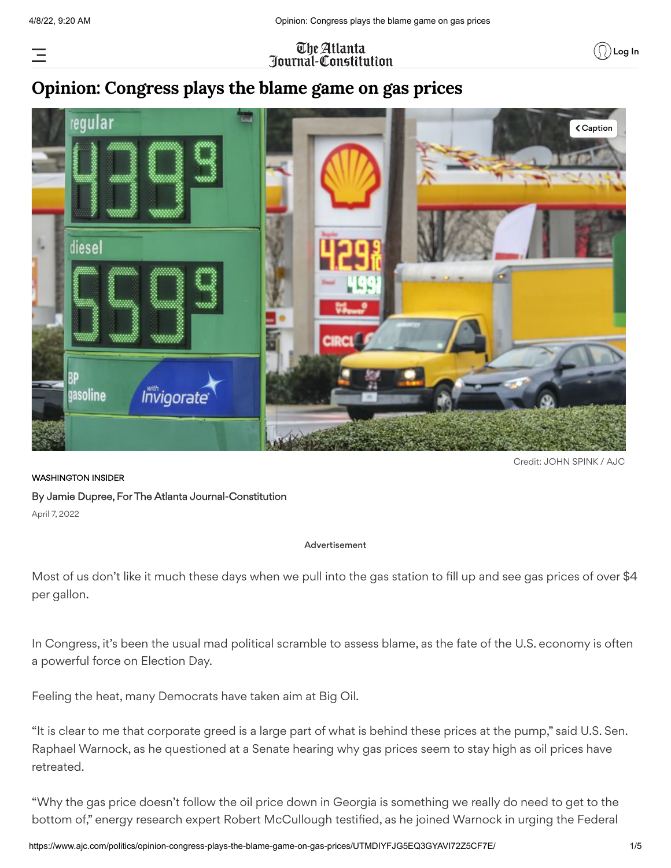Ξ

### The Atlanta <u> Iournal-Constitution</u>



### **Opinion: Congress plays the blame game on gas prices**



Credit: JOHN SPINK / AJC

WASHINGTON INSIDER By Jamie Dupree, For The Atlanta Journal-Constitution April 7, 2022

#### Advertisement

Most of us don't like it much these days when we pull into the gas station to fill up and see gas prices of over \$4 per gallon.

In Congress, it's been the usual mad political scramble to assess blame, as the fate of the U.S. economy is often a powerful force on Election Day.

Feeling the heat, many Democrats have taken aim at Big Oil.

"It is clear to me that corporate greed is a large part of what is behind these prices at the pump," said U.S. Sen. Raphael Warnock, as he questioned at a Senate hearing why gas prices seem to stay high as oil prices have retreated.

"Why the gas price doesn't follow the oil price down in Georgia is something we really do need to get to the bottom of," energy research expert Robert McCullough testified, as he joined Warnock in urging the Federal